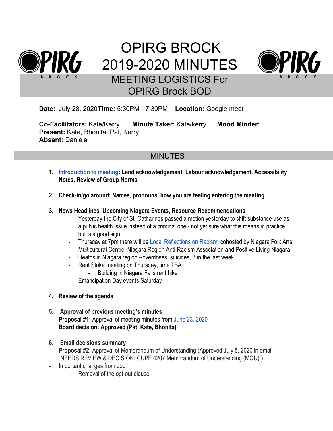



**Date:** July 28, 2020**Time:** 5:30PM - 7:30PM **Location:** Google meet

**Co-Facilitators:** Kate/Kerry **Minute Taker:** Kate/kerry **Mood Minder: Present:** Kate, Bhonita, Pat, Kerry **Absent:** Daniela

# MINUTES

- **1. [Introduction to meeting:](https://docs.google.com/document/u/1/d/1oq5QTQxiHg-sc3RS-rfF2ow0I8FZIC1TM6Ch9_1rR5E/edit) Land acknowledgement, Labour acknowledgement, Accessibility Notes, Review of Group Norms**
- **2. Check-in/go around: Names, pronouns, how you are feeling entering the meeting**

#### **3. News Headlines, Upcoming Niagara Events, Resource Recommendations**

- Yesterday the City of St. Catharines passed a motion yesterday to shift substance use as a public health issue instead of a criminal one - not yet sure what this means in practice, but is a good sign
- Thursday at 7pm there will b[e Local Reflections on Racism,](https://www.facebook.com/events/2358884461087265/) cohosted by Niagara Folk Arts Multicultural Centre, Niagara Region Anti-Racism Association and Positive Living Niagara
- Deaths in Niagara region --overdoses, suicides, 8 in the last week.
- Rent Strike meeting on Thursday, time TBA
	- Building in Niagara Falls rent hike
- Emancipation Day events Saturday
- **4. Review of the agenda**
- **5. Approval of previous meeting's minutes Proposal #1:** Approval of meeting minutes from [June 23, 2020](https://docs.google.com/document/d/1ff4HyFJPo9N0YkrTrh_WBkXh629q_bzP6cPvWXVjRZk/edit) **Board decision: Approved (Pat, Kate, Bhonita)**
- **6. Email decisions summary**
- **Proposal #2:** Approval of Memorandum of Understanding (Approved July 5, 2020 in email "NEEDS REVIEW & DECISION: CUPE 4207 Memorandum of Understanding (MOU)")
- Important changes from doc:
	- Removal of the opt-out clause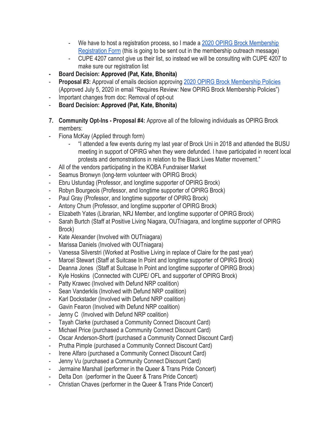- We have to host a registration process, so I made a [2020 OPIRG Brock Membership](https://forms.gle/kMAHF8ycBo54gCYu6) [Registration Form](https://forms.gle/kMAHF8ycBo54gCYu6) (this is going to be sent out in the membership outreach message)
- CUPE 4207 cannot give us their list, so instead we will be consulting with CUPE 4207 to make sure our registration list
- **- Board Decision: Approved (Pat, Kate, Bhonita)**
- **Proposal #3:** Approval of emails decision approving [2020 OPIRG Brock Membership Policies](https://docs.google.com/document/u/1/d/1tODw28SthrVaCUgEaylzgxNil3VEqZY4jBEkweMMtro/edit#) (Approved July 5, 2020 in email "Requires Review: New OPIRG Brock Membership Policies")
- Important changes from doc: Removal of opt-out
- **Board Decision: Approved (Pat, Kate, Bhonita)**
- **7. Community Opt-Ins Proposal #4:** Approve all of the following individuals as OPIRG Brock members:
- Fiona McKay (Applied through form)
	- "I attended a few events during my last year of Brock Uni in 2018 and attended the BUSU meeting in support of OPIRG when they were defunded. I have participated in recent local protests and demonstrations in relation to the Black Lives Matter movement."
- All of the vendors participating in the KOBA Fundraiser Market
- Seamus Bronwyn (long-term volunteer with OPIRG Brock)
- Ebru Ustundag (Professor, and longtime supporter of OPIRG Brock)
- Robyn Bourgeois (Professor, and longtime supporter of OPIRG Brock)
- Paul Gray (Professor, and longtime supporter of OPIRG Brock)
- Antony Chum (Professor, and longtime supporter of OPIRG Brock)
- Elizabeth Yates (Librarian, NRJ Member, and longtime supporter of OPIRG Brock)
- Sarah Burtch (Staff at Positive Living Niagara, OUTniagara, and longtime supporter of OPIRG Brock)
- Kate Alexander (Involved with OUTniagara)
- Marissa Daniels (Involved with OUTniagara)
- Vanessa Silverstri (Worked at Positive Living in replace of Claire for the past year)
- Marcel Stewart (Staff at Suitcase In Point and longtime supporter of OPIRG Brock)
- Deanna Jones (Staff at Suitcase In Point and longtime supporter of OPIRG Brock)
- Kyle Hoskins (Connected with CUPE/ OFL and supporter of OPIRG Brock)
- Patty Krawec (Involved with Defund NRP coalition)
- Sean Vanderklis (Involved with Defund NRP coalition)
- Karl Dockstader (Involved with Defund NRP coalition)
- Gavin Fearon (Involved with Defund NRP coalition)
- Jenny C (Involved with Defund NRP coalition)
- Tayah Clarke (purchased a Community Connect Discount Card)
- Michael Price (purchased a Community Connect Discount Card)
- Oscar Anderson-Shortt (purchased a Community Connect Discount Card)
- Prutha Pimple (purchased a Community Connect Discount Card)
- Irene Alfaro (purchased a Community Connect Discount Card)
- Jenny Vu (purchased a Community Connect Discount Card)
- Jermaine Marshall (performer in the Queer & Trans Pride Concert)
- Delta Don (performer in the Queer & Trans Pride Concert)
- Christian Chaves (performer in the Queer & Trans Pride Concert)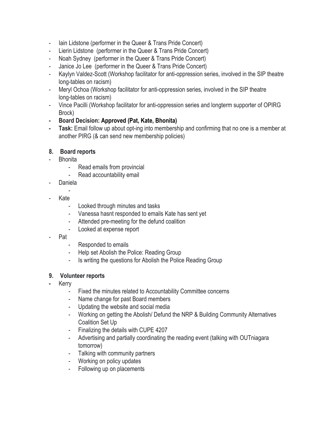- lain Lidstone (performer in the Queer & Trans Pride Concert)
- Lierin Lidstone (performer in the Queer & Trans Pride Concert)
- Noah Sydney (performer in the Queer & Trans Pride Concert)
- Janice Jo Lee (performer in the Queer & Trans Pride Concert)
- Kaylyn Valdez-Scott (Workshop facilitator for anti-oppression series, involved in the SIP theatre long-tables on racism)
- Meryl Ochoa (Workshop facilitator for anti-oppression series, involved in the SIP theatre long-tables on racism)
- Vince Pacilli (Workshop facilitator for anti-oppression series and longterm supporter of OPIRG Brock)
- **- Board Decision: Approved (Pat, Kate, Bhonita)**
- **- Task:** Email follow up about opt-ing into membership and confirming that no one is a member at another PIRG (& can send new membership policies)

### **8. Board reports**

- Bhonita
	- Read emails from provincial
	- Read accountability email
- **Daniela**
- Kate
	- Looked through minutes and tasks
	- Vanessa hasnt responded to emails Kate has sent yet
	- Attended pre-meeting for the defund coalition
	- Looked at expense report
- Pat
	- Responded to emails
	- Help set Abolish the Police: Reading Group
	- Is writing the questions for Abolish the Police Reading Group

### **9. Volunteer reports**

- **-** Kerry
	- Fixed the minutes related to Accountability Committee concerns
	- Name change for past Board members
	- Updating the website and social media
	- Working on getting the Abolish/ Defund the NRP & Building Community Alternatives Coalition Set Up
	- Finalizing the details with CUPE 4207
	- Advertising and partially coordinating the reading event (talking with OUTniagara tomorrow)
	- Talking with community partners
	- Working on policy updates
	- Following up on placements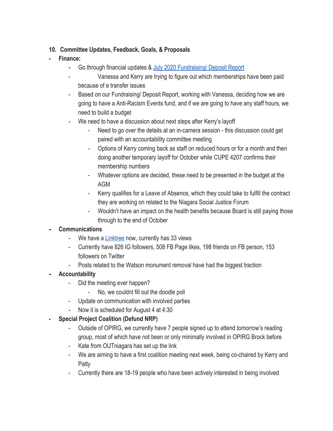## **10. Committee Updates, Feedback, Goals, & Proposals**

## **- Finance:**

- Go through financial updates & [July 2020 Fundraising/ Deposit Report](https://docs.google.com/document/d/1Xm0sH0Sv_sH-8DsyDiuzujWGeOs9IgwH0Gxp_Gos-N0/edit)
- Vanessa and Kerry are trying to figure out which memberships have been paid because of e transfer issues
- Based on our Fundraising/ Deposit Report, working with Vanessa, deciding how we are going to have a Anti-Racism Events fund, and if we are going to have any staff hours, we need to build a budget
- We need to have a discussion about next steps after Kerry's layoff
	- Need to go over the details at an in-camera session this discussion could get paired with an accountability committee meeting
	- Options of Kerry coming back as staff on reduced hours or for a month and then doing another temporary layoff for October while CUPE 4207 confirms their membership numbers
	- Whatever options are decided, these need to be presented in the budget at the AGM
	- Kerry qualifies for a Leave of Absence, which they could take to fulfill the contract they are working on related to the Niagara Social Justice Forum
	- Wouldn't have an impact on the health benefits because Board is still paying those through to the end of October

## **- Communications**

- We have a **Linktree** now, currently has 33 views
- Currently have 826 IG followers, 508 FB Page likes, 198 friends on FB person, 153 followers on Twitter
- Posts related to the Watson monument removal have had the biggest traction
- **- Accountability**
	- Did the meeting ever happen?
		- No, we couldnt fill out the doodle poll
	- Update on communication with involved parties
	- Now it is scheduled for August 4 at 4:30

## **- Special Project Coalition (Defund NRP)**

- Outside of OPIRG, we currently have 7 people signed up to attend tomorrow's reading group, most of which have not been or only minimally involved in OPIRG Brock before
- Kate from OUTniagara has set up the link
- We are aiming to have a first coalition meeting next week, being co-chaired by Kerry and Patty
- Currently there are 18-19 people who have been actively interested in being involved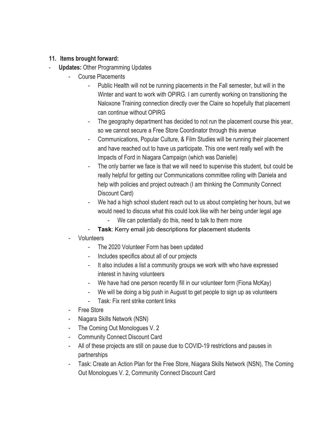### **11. Items brought forward:**

- **Updates: Other Programming Updates** 
	- Course Placements
		- Public Health will not be running placements in the Fall semester, but will in the Winter and want to work with OPIRG. I am currently working on transitioning the Naloxone Training connection directly over the Claire so hopefully that placement can continue without OPIRG
		- The geography department has decided to not run the placement course this year, so we cannot secure a Free Store Coordinator through this avenue
		- Communications, Popular Culture, & Film Studies will be running their placement and have reached out to have us participate. This one went really well with the Impacts of Ford in Niagara Campaign (which was Danielle)
		- The only barrier we face is that we will need to supervise this student, but could be really helpful for getting our Communications committee rolling with Daniela and help with policies and project outreach (I am thinking the Community Connect Discount Card)
		- We had a high school student reach out to us about completing her hours, but we would need to discuss what this could look like with her being under legal age
			- We can potentially do this, need to talk to them more
		- Task: Kerry email job descriptions for placement students
	- Volunteers
		- The 2020 Volunteer Form has been updated
		- Includes specifics about all of our projects
		- It also includes a list a community groups we work with who have expressed interest in having volunteers
		- We have had one person recently fill in our volunteer form (Fiona McKay)
		- We will be doing a big push in August to get people to sign up as volunteers
		- Task: Fix rent strike content links
	- Free Store
	- Niagara Skills Network (NSN)
	- The Coming Out Monologues V. 2
	- Community Connect Discount Card
	- All of these projects are still on pause due to COVID-19 restrictions and pauses in partnerships
	- Task: Create an Action Plan for the Free Store, Niagara Skills Network (NSN), The Coming Out Monologues V. 2, Community Connect Discount Card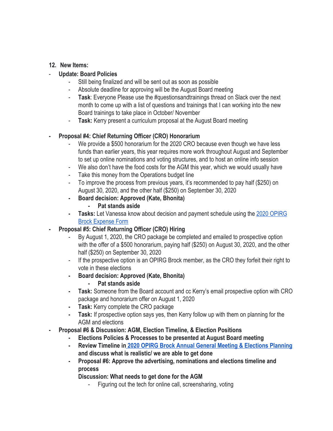### **12. New Items:**

### - **Update: Board Policies**

- Still being finalized and will be sent out as soon as possible
- Absolute deadline for approving will be the August Board meeting
- **Task**: Everyone Please use the #questionsandtrainings thread on Slack over the next month to come up with a list of questions and trainings that I can working into the new Board trainings to take place in October/ November
- **Task:** Kerry present a curriculum proposal at the August Board meeting

## **- Proposal #4: Chief Returning Officer (CRO) Honorarium**

- We provide a \$500 honorarium for the 2020 CRO because even though we have less funds than earlier years, this year requires more work throughout August and September to set up online nominations and voting structures, and to host an online info session
- We also don't have the food costs for the AGM this year, which we would usually have
- Take this money from the Operations budget line
- To improve the process from previous years, it's recommended to pay half (\$250) on August 30, 2020, and the other half (\$250) on September 30, 2020
- **- Board decision: Approved (Kate, Bhonita)**
	- **- Pat stands aside**
- **- Tasks:** Let Vanessa know about decision and payment schedule using the [2020 OPIRG](https://docs.google.com/spreadsheets/d/12IqkoiVqfeQJUeJVmxCfOePv8GqiAt7C/edit#gid=1833039408) [Brock Expense Form](https://docs.google.com/spreadsheets/d/12IqkoiVqfeQJUeJVmxCfOePv8GqiAt7C/edit#gid=1833039408)
- **- Proposal #5: Chief Returning Officer (CRO) Hiring**
	- By August 1, 2020, the CRO package be completed and emailed to prospective option with the offer of a \$500 honorarium, paying half (\$250) on August 30, 2020, and the other half (\$250) on September 30, 2020
	- If the prospective option is an OPIRG Brock member, as the CRO they forfeit their right to vote in these elections
	- **- Board decision: Approved (Kate, Bhonita)**
		- **- Pat stands aside**
	- **- Task:** Someone from the Board account and cc Kerry's email prospective option with CRO package and honorarium offer on August 1, 2020
	- **- Task:** Kerry complete the CRO package
	- **- Task:** If prospective option says yes, then Kerry follow up with them on planning for the AGM and elections
- **- Proposal #6 & Discussion: AGM, Election Timeline, & Election Positions**
	- **- Elections Policies & Processes to be presented at August Board meeting**
	- **- Review Timeline i[n 2020 OPIRG Brock Annual General Meeting & Elections Planning](https://docs.google.com/document/d/16bkj_0_ZGFelP3sf2Fi-xZmc7MGCgzLHqmmZqCZgCgA/edit#heading=h.oo91wvwc9hnv) and discuss what is realistic/ we are able to get done**
	- **- Proposal #6: Approve the advertising, nominations and elections timeline and process**
		- **Discussion: What needs to get done for the AGM**
			- Figuring out the tech for online call, screensharing, voting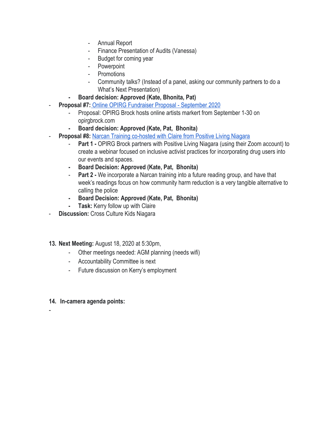- Annual Report
- Finance Presentation of Audits (Vanessa)
- Budget for coming year
- Powerpoint
- Promotions
- Community talks? (Instead of a panel, asking our community partners to do a What's Next Presentation)
- **- Board decision: Approved (Kate, Bhonita, Pat)**
- **Proposal #7:** [Online OPIRG Fundraiser Proposal September 2020](https://docs.google.com/document/d/1FLZOwJkFOG_9f3xns2P2SKcdzVJQK-0qH4PaMk_iUDc/edit)
	- Proposal: OPIRG Brock hosts online artists markert from September 1-30 on opirgbrock.com
	- **- Board decision: Approved (Kate, Pat, Bhonita)**
- **Proposal #8: [Narcan Training co-hosted with Claire from Positive Living Niagara](https://docs.google.com/document/d/1nQQnC12nqOuOq29iNItH9HhPiAaby1WxEzsmR-52-ZM/edit)** 
	- Part 1 OPIRG Brock partners with Positive Living Niagara (using their Zoom account) to create a webinar focused on inclusive activist practices for incorporating drug users into our events and spaces.
	- **- Board Decision: Approved (Kate, Pat, Bhonita)**
	- **Part 2** We incorporate a Narcan training into a future reading group, and have that week's readings focus on how community harm reduction is a very tangible alternative to calling the police
	- **- Board Decision: Approved (Kate, Pat, Bhonita)**
	- **- Task:** Kerry follow up with Claire
- **Discussion:** Cross Culture Kids Niagara
- **13. Next Meeting:** August 18, 2020 at 5:30pm,
	- Other meetings needed: AGM planning (needs wifi)
	- Accountability Committee is next
	- Future discussion on Kerry's employment

### **14. In-camera agenda points:**

-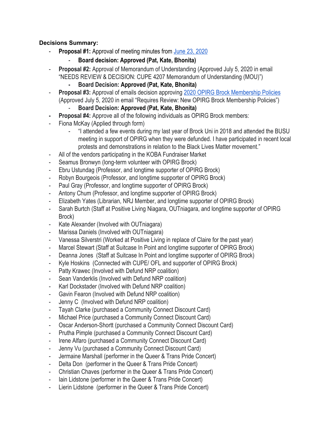### **Decisions Summary:**

- **Proposal #1:** Approval of meeting minutes from [June 23, 2020](https://docs.google.com/document/d/1ff4HyFJPo9N0YkrTrh_WBkXh629q_bzP6cPvWXVjRZk/edit)
	- **Board decision: Approved (Pat, Kate, Bhonita)**
- **Proposal #2:** Approval of Memorandum of Understanding (Approved July 5, 2020 in email "NEEDS REVIEW & DECISION: CUPE 4207 Memorandum of Understanding (MOU)")
	- **- Board Decision: Approved (Pat, Kate, Bhonita)**
- **Proposal #3:** Approval of emails decision approving [2020 OPIRG Brock Membership Policies](https://docs.google.com/document/u/1/d/1tODw28SthrVaCUgEaylzgxNil3VEqZY4jBEkweMMtro/edit#) (Approved July 5, 2020 in email "Requires Review: New OPIRG Brock Membership Policies")
	- **Board Decision: Approved (Pat, Kate, Bhonita)**
- **- Proposal #4:** Approve all of the following individuals as OPIRG Brock members:
- Fiona McKay (Applied through form)
	- "I attended a few events during my last year of Brock Uni in 2018 and attended the BUSU meeting in support of OPIRG when they were defunded. I have participated in recent local protests and demonstrations in relation to the Black Lives Matter movement."
- All of the vendors participating in the KOBA Fundraiser Market
- Seamus Bronwyn (long-term volunteer with OPIRG Brock)
- Ebru Ustundag (Professor, and longtime supporter of OPIRG Brock)
- Robyn Bourgeois (Professor, and longtime supporter of OPIRG Brock)
- Paul Gray (Professor, and longtime supporter of OPIRG Brock)
- Antony Chum (Professor, and longtime supporter of OPIRG Brock)
- Elizabeth Yates (Librarian, NRJ Member, and longtime supporter of OPIRG Brock)
- Sarah Burtch (Staff at Positive Living Niagara, OUTniagara, and longtime supporter of OPIRG Brock)
- Kate Alexander (Involved with OUTniagara)
- Marissa Daniels (Involved with OUTniagara)
- Vanessa Silverstri (Worked at Positive Living in replace of Claire for the past year)
- Marcel Stewart (Staff at Suitcase In Point and longtime supporter of OPIRG Brock)
- Deanna Jones (Staff at Suitcase In Point and longtime supporter of OPIRG Brock)
- Kyle Hoskins (Connected with CUPE/ OFL and supporter of OPIRG Brock)
- Patty Krawec (Involved with Defund NRP coalition)
- Sean Vanderklis (Involved with Defund NRP coalition)
- Karl Dockstader (Involved with Defund NRP coalition)
- Gavin Fearon (Involved with Defund NRP coalition)
- Jenny C (Involved with Defund NRP coalition)
- Tayah Clarke (purchased a Community Connect Discount Card)
- Michael Price (purchased a Community Connect Discount Card)
- Oscar Anderson-Shortt (purchased a Community Connect Discount Card)
- Prutha Pimple (purchased a Community Connect Discount Card)
- Irene Alfaro (purchased a Community Connect Discount Card)
- Jenny Vu (purchased a Community Connect Discount Card)
- Jermaine Marshall (performer in the Queer & Trans Pride Concert)
- Delta Don (performer in the Queer & Trans Pride Concert)
- Christian Chaves (performer in the Queer & Trans Pride Concert)
- Iain Lidstone (performer in the Queer & Trans Pride Concert)
- Lierin Lidstone (performer in the Queer & Trans Pride Concert)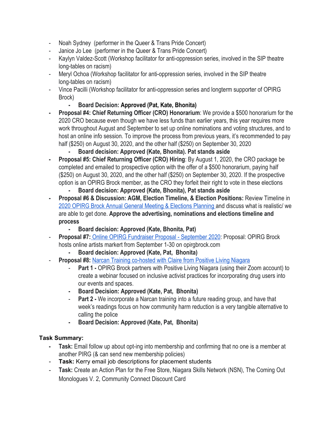- Noah Sydney (performer in the Queer & Trans Pride Concert)
- Janice Jo Lee (performer in the Queer & Trans Pride Concert)
- Kaylyn Valdez-Scott (Workshop facilitator for anti-oppression series, involved in the SIP theatre long-tables on racism)
- Meryl Ochoa (Workshop facilitator for anti-oppression series, involved in the SIP theatre long-tables on racism)
- Vince Pacilli (Workshop facilitator for anti-oppression series and longterm supporter of OPIRG Brock)
	- **- Board Decision: Approved (Pat, Kate, Bhonita)**
- **- Proposal #4: Chief Returning Officer (CRO) Honorarium**: We provide a \$500 honorarium for the 2020 CRO because even though we have less funds than earlier years, this year requires more work throughout August and September to set up online nominations and voting structures, and to host an online info session. To improve the process from previous years, it's recommended to pay half (\$250) on August 30, 2020, and the other half (\$250) on September 30, 2020
	- **- Board decision: Approved (Kate, Bhonita). Pat stands aside**
- **- Proposal #5: Chief Returning Officer (CRO) Hiring**: By August 1, 2020, the CRO package be completed and emailed to prospective option with the offer of a \$500 honorarium, paying half (\$250) on August 30, 2020, and the other half (\$250) on September 30, 2020. If the prospective option is an OPIRG Brock member, as the CRO they forfeit their right to vote in these elections
	- **- Board decision: Approved (Kate, Bhonita), Pat stands aside**
- **- Proposal #6 & Discussion: AGM, Election Timeline, & Election Positions:** Review Timeline i[n](https://docs.google.com/document/d/16bkj_0_ZGFelP3sf2Fi-xZmc7MGCgzLHqmmZqCZgCgA/edit#heading=h.oo91wvwc9hnv) [2020 OPIRG Brock Annual General Meeting & Elections Planning a](https://docs.google.com/document/d/16bkj_0_ZGFelP3sf2Fi-xZmc7MGCgzLHqmmZqCZgCgA/edit#heading=h.oo91wvwc9hnv)nd discuss what is realistic/ we are able to get done. **Approve the advertising, nominations and elections timeline and process**
	- **- Board decision: Approved (Kate, Bhonita, Pat)**
- **Proposal #7:** [Online OPIRG Fundraiser Proposal September 2020:](https://docs.google.com/document/d/1FLZOwJkFOG_9f3xns2P2SKcdzVJQK-0qH4PaMk_iUDc/edit) Proposal: OPIRG Brock hosts online artists markert from September 1-30 on opirgbrock.com
	- **- Board decision: Approved (Kate, Pat, Bhonita)**
- **Proposal #8: [Narcan Training co-hosted with Claire from Positive Living Niagara](https://docs.google.com/document/d/1nQQnC12nqOuOq29iNItH9HhPiAaby1WxEzsmR-52-ZM/edit)** 
	- **Part 1 -** OPIRG Brock partners with Positive Living Niagara (using their Zoom account) to create a webinar focused on inclusive activist practices for incorporating drug users into our events and spaces.
	- **- Board Decision: Approved (Kate, Pat, Bhonita)**
	- **Part 2** We incorporate a Narcan training into a future reading group, and have that week's readings focus on how community harm reduction is a very tangible alternative to calling the police
	- **- Board Decision: Approved (Kate, Pat, Bhonita)**

### **Task Summary:**

- **- Task:** Email follow up about opt-ing into membership and confirming that no one is a member at another PIRG (& can send new membership policies)
- **Task:** Kerry email job descriptions for placement students
- **Task:** Create an Action Plan for the Free Store, Niagara Skills Network (NSN), The Coming Out Monologues V. 2, Community Connect Discount Card